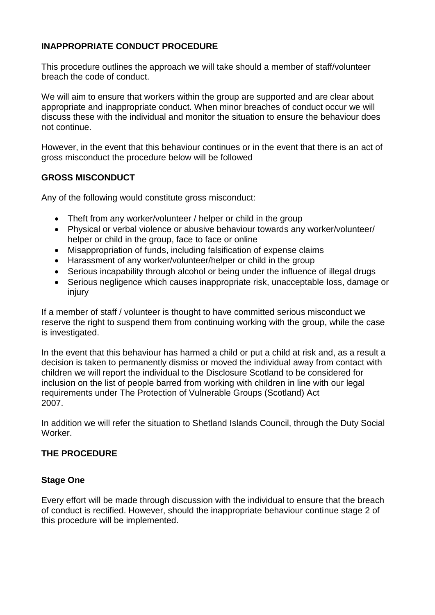# **INAPPROPRIATE CONDUCT PROCEDURE**

This procedure outlines the approach we will take should a member of staff/volunteer breach the code of conduct.

We will aim to ensure that workers within the group are supported and are clear about appropriate and inappropriate conduct. When minor breaches of conduct occur we will discuss these with the individual and monitor the situation to ensure the behaviour does not continue.

However, in the event that this behaviour continues or in the event that there is an act of gross misconduct the procedure below will be followed

## **GROSS MISCONDUCT**

Any of the following would constitute gross misconduct:

- Theft from any worker/volunteer / helper or child in the group
- Physical or verbal violence or abusive behaviour towards any worker/volunteer/ helper or child in the group, face to face or online
- Misappropriation of funds, including falsification of expense claims
- Harassment of any worker/volunteer/helper or child in the group
- Serious incapability through alcohol or being under the influence of illegal drugs
- Serious negligence which causes inappropriate risk, unacceptable loss, damage or injury

If a member of staff / volunteer is thought to have committed serious misconduct we reserve the right to suspend them from continuing working with the group, while the case is investigated.

In the event that this behaviour has harmed a child or put a child at risk and, as a result a decision is taken to permanently dismiss or moved the individual away from contact with children we will report the individual to the Disclosure Scotland to be considered for inclusion on the list of people barred from working with children in line with our legal requirements under The Protection of Vulnerable Groups (Scotland) Act 2007.

In addition we will refer the situation to Shetland Islands Council, through the Duty Social Worker.

## **THE PROCEDURE**

#### **Stage One**

Every effort will be made through discussion with the individual to ensure that the breach of conduct is rectified. However, should the inappropriate behaviour continue stage 2 of this procedure will be implemented.